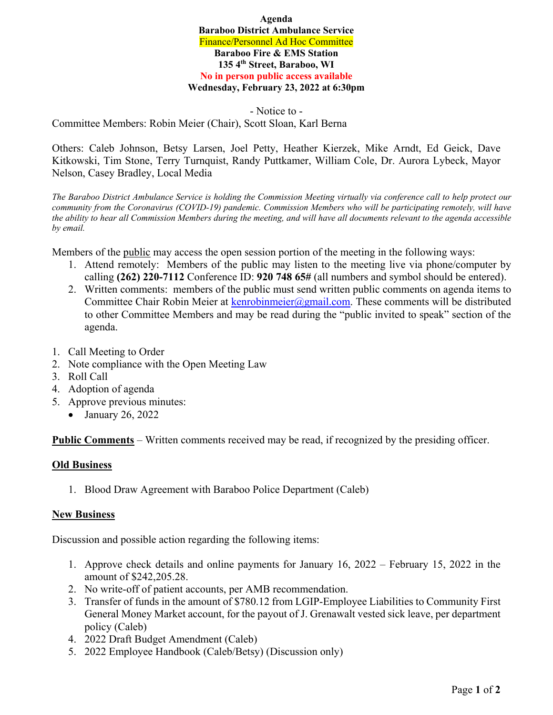**Agenda Baraboo District Ambulance Service**  Finance/Personnel Ad Hoc Committee **Baraboo Fire & EMS Station 135 4th Street, Baraboo, WI No in person public access available Wednesday, February 23, 2022 at 6:30pm** 

- Notice to - Committee Members: Robin Meier (Chair), Scott Sloan, Karl Berna

Others: Caleb Johnson, Betsy Larsen, Joel Petty, Heather Kierzek, Mike Arndt, Ed Geick, Dave Kitkowski, Tim Stone, Terry Turnquist, Randy Puttkamer, William Cole, Dr. Aurora Lybeck, Mayor Nelson, Casey Bradley, Local Media

*The Baraboo District Ambulance Service is holding the Commission Meeting virtually via conference call to help protect our community from the Coronavirus (COVID-19) pandemic. Commission Members who will be participating remotely, will have the ability to hear all Commission Members during the meeting, and will have all documents relevant to the agenda accessible by email.* 

Members of the public may access the open session portion of the meeting in the following ways:

- 1. Attend remotely: Members of the public may listen to the meeting live via phone/computer by calling **(262) 220-7112** Conference ID: **920 748 65#** (all numbers and symbol should be entered).
- 2. Written comments: members of the public must send written public comments on agenda items to Committee Chair Robin Meier at kenrobinmeier@gmail.com. These comments will be distributed to other Committee Members and may be read during the "public invited to speak" section of the agenda.
- 1. Call Meeting to Order
- 2. Note compliance with the Open Meeting Law
- 3. Roll Call
- 4. Adoption of agenda
- 5. Approve previous minutes:
	- January 26, 2022

**Public Comments** – Written comments received may be read, if recognized by the presiding officer.

## **Old Business**

1. Blood Draw Agreement with Baraboo Police Department (Caleb)

## **New Business**

Discussion and possible action regarding the following items:

- 1. Approve check details and online payments for January 16, 2022 February 15, 2022 in the amount of \$242,205.28.
- 2. No write-off of patient accounts, per AMB recommendation.
- 3. Transfer of funds in the amount of \$780.12 from LGIP-Employee Liabilities to Community First General Money Market account, for the payout of J. Grenawalt vested sick leave, per department policy (Caleb)
- 4. 2022 Draft Budget Amendment (Caleb)
- 5. 2022 Employee Handbook (Caleb/Betsy) (Discussion only)